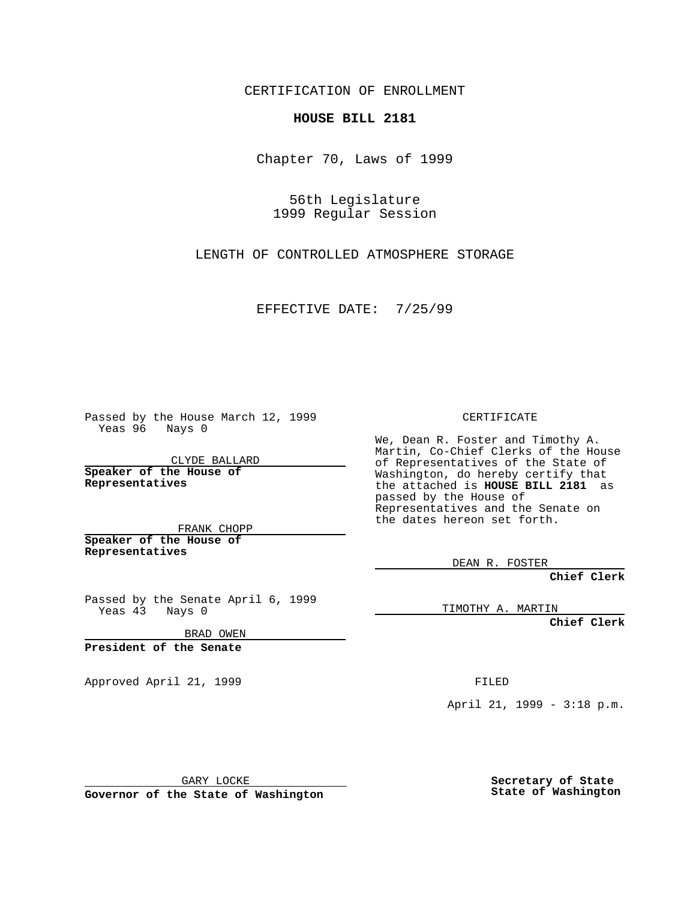CERTIFICATION OF ENROLLMENT

## **HOUSE BILL 2181**

Chapter 70, Laws of 1999

56th Legislature 1999 Regular Session

LENGTH OF CONTROLLED ATMOSPHERE STORAGE

EFFECTIVE DATE: 7/25/99

Passed by the House March 12, 1999 Yeas 96 Nays 0

CLYDE BALLARD **Speaker of the House of Representatives**

FRANK CHOPP **Speaker of the House of**

**Representatives**

Passed by the Senate April 6, 1999 Yeas 43 Nays 0

BRAD OWEN

**President of the Senate**

Approved April 21, 1999 FILED

CERTIFICATE

We, Dean R. Foster and Timothy A. Martin, Co-Chief Clerks of the House of Representatives of the State of Washington, do hereby certify that the attached is **HOUSE BILL 2181** as passed by the House of Representatives and the Senate on the dates hereon set forth.

DEAN R. FOSTER

**Chief Clerk**

TIMOTHY A. MARTIN

**Chief Clerk**

April 21, 1999 - 3:18 p.m.

GARY LOCKE

**Governor of the State of Washington**

**Secretary of State State of Washington**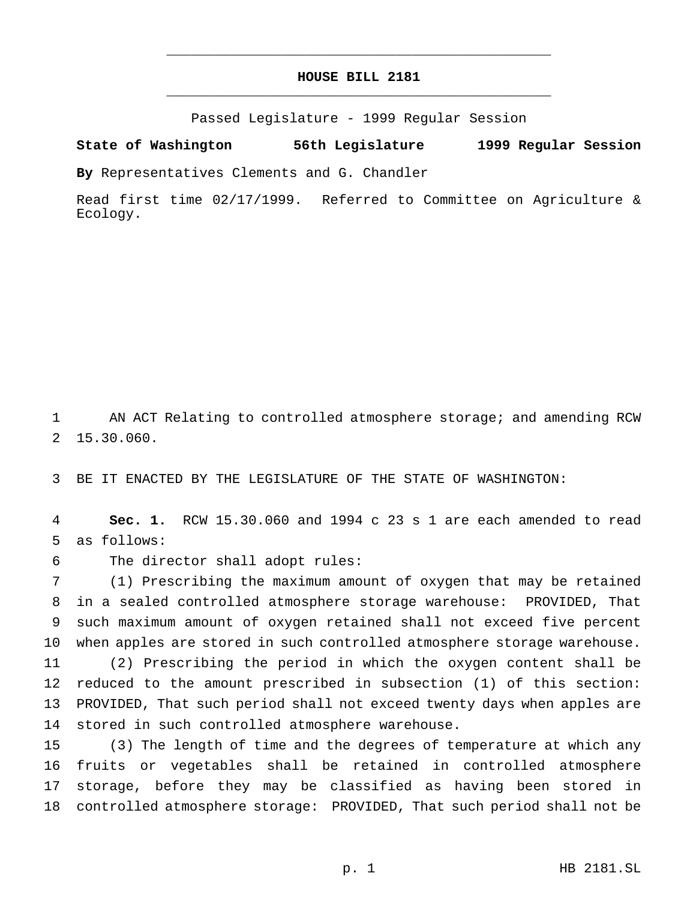## **HOUSE BILL 2181** \_\_\_\_\_\_\_\_\_\_\_\_\_\_\_\_\_\_\_\_\_\_\_\_\_\_\_\_\_\_\_\_\_\_\_\_\_\_\_\_\_\_\_\_\_\_\_

\_\_\_\_\_\_\_\_\_\_\_\_\_\_\_\_\_\_\_\_\_\_\_\_\_\_\_\_\_\_\_\_\_\_\_\_\_\_\_\_\_\_\_\_\_\_\_

Passed Legislature - 1999 Regular Session

## **State of Washington 56th Legislature 1999 Regular Session**

**By** Representatives Clements and G. Chandler

Read first time 02/17/1999. Referred to Committee on Agriculture & Ecology.

 AN ACT Relating to controlled atmosphere storage; and amending RCW 15.30.060.

BE IT ENACTED BY THE LEGISLATURE OF THE STATE OF WASHINGTON:

 **Sec. 1.** RCW 15.30.060 and 1994 c 23 s 1 are each amended to read as follows:

The director shall adopt rules:

 (1) Prescribing the maximum amount of oxygen that may be retained in a sealed controlled atmosphere storage warehouse: PROVIDED, That such maximum amount of oxygen retained shall not exceed five percent when apples are stored in such controlled atmosphere storage warehouse.

 (2) Prescribing the period in which the oxygen content shall be reduced to the amount prescribed in subsection (1) of this section: PROVIDED, That such period shall not exceed twenty days when apples are stored in such controlled atmosphere warehouse.

 (3) The length of time and the degrees of temperature at which any fruits or vegetables shall be retained in controlled atmosphere storage, before they may be classified as having been stored in controlled atmosphere storage: PROVIDED, That such period shall not be